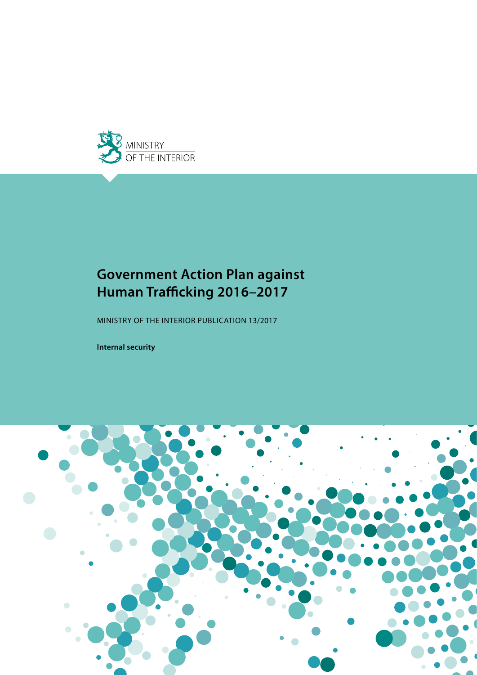

# **Government Action Plan against Human Trafficking 2016–2017**

MINISTRY OF THE INTERIOR PUBLICATION 13/2017

**Internal security**

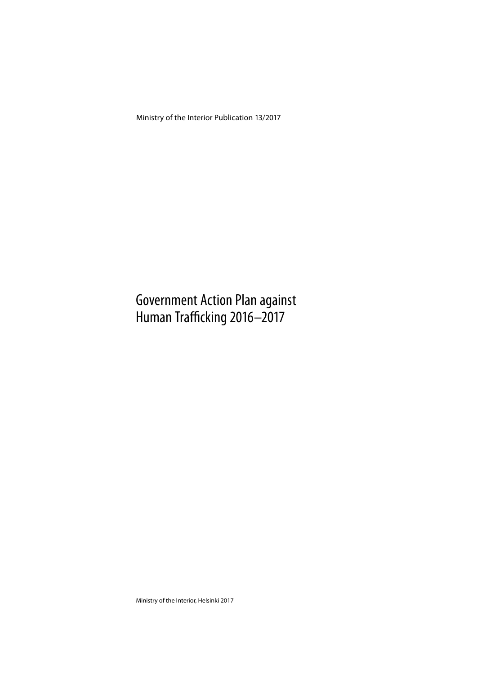Ministry of the Interior Publication 13/2017

# Government Action Plan against Human Trafficking 2016–2017

Ministry of the Interior, Helsinki 2017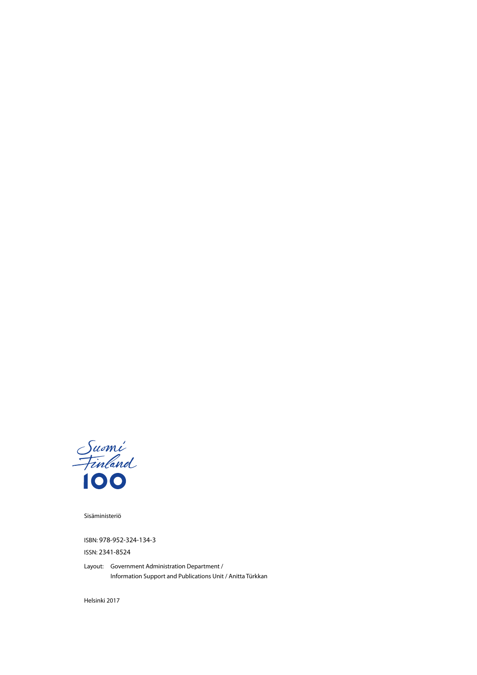

Sisäministeriö

ISBN: 978-952-324-134-3

ISSN: 2341-8524

Layout: Government Administration Department / Information Support and Publications Unit / Anitta Türkkan

Helsinki 2017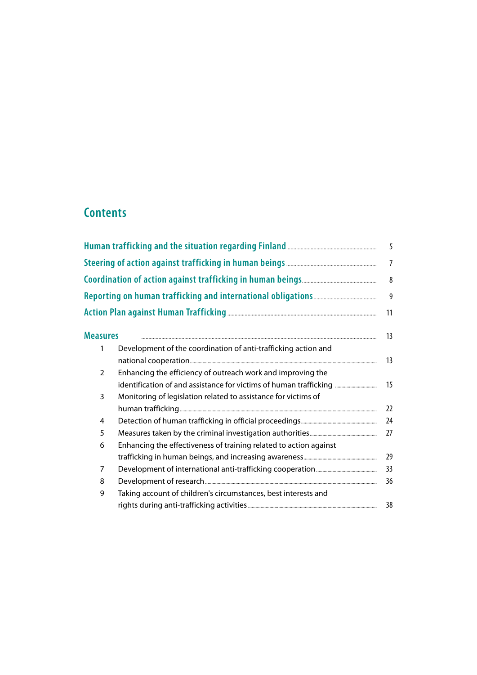# **Contents**

|                 |                                                                   | 5              |
|-----------------|-------------------------------------------------------------------|----------------|
|                 |                                                                   | $\overline{7}$ |
|                 |                                                                   | $\,8\,$        |
|                 |                                                                   | 9              |
|                 |                                                                   | 11             |
| <b>Measures</b> |                                                                   | 13             |
| 1               | Development of the coordination of anti-trafficking action and    | 13             |
| 2               | Enhancing the efficiency of outreach work and improving the       |                |
|                 | identification of and assistance for victims of human trafficking | 15             |
| 3               | Monitoring of legislation related to assistance for victims of    |                |
|                 |                                                                   | 22             |
| 4               |                                                                   | 24             |
| 5               |                                                                   | 27             |
| 6               | Enhancing the effectiveness of training related to action against |                |
|                 |                                                                   | 29             |
| 7               |                                                                   | 33             |
| 8               |                                                                   | 36             |
| 9               | Taking account of children's circumstances, best interests and    |                |
|                 |                                                                   | 38             |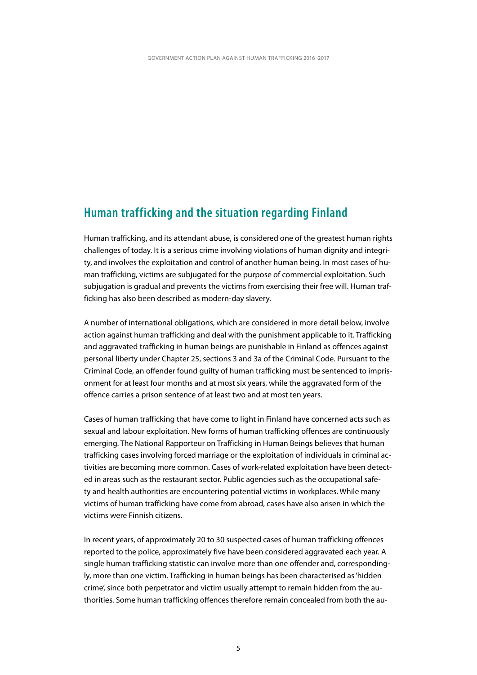### <span id="page-6-0"></span>**Human trafficking and the situation regarding Finland**

Human trafficking, and its attendant abuse, is considered one of the greatest human rights challenges of today. It is a serious crime involving violations of human dignity and integrity, and involves the exploitation and control of another human being. In most cases of human trafficking, victims are subjugated for the purpose of commercial exploitation. Such subjugation is gradual and prevents the victims from exercising their free will. Human trafficking has also been described as modern-day slavery.

A number of international obligations, which are considered in more detail below, involve action against human trafficking and deal with the punishment applicable to it. Trafficking and aggravated trafficking in human beings are punishable in Finland as offences against personal liberty under Chapter 25, sections 3 and 3a of the Criminal Code. Pursuant to the Criminal Code, an offender found guilty of human trafficking must be sentenced to imprisonment for at least four months and at most six years, while the aggravated form of the offence carries a prison sentence of at least two and at most ten years.

Cases of human trafficking that have come to light in Finland have concerned acts such as sexual and labour exploitation. New forms of human trafficking offences are continuously emerging. The National Rapporteur on Trafficking in Human Beings believes that human trafficking cases involving forced marriage or the exploitation of individuals in criminal activities are becoming more common. Cases of work-related exploitation have been detected in areas such as the restaurant sector. Public agencies such as the occupational safety and health authorities are encountering potential victims in workplaces. While many victims of human trafficking have come from abroad, cases have also arisen in which the victims were Finnish citizens.

In recent years, of approximately 20 to 30 suspected cases of human trafficking offences reported to the police, approximately five have been considered aggravated each year. A single human trafficking statistic can involve more than one offender and, correspondingly, more than one victim. Trafficking in human beings has been characterised as 'hidden crime', since both perpetrator and victim usually attempt to remain hidden from the authorities. Some human trafficking offences therefore remain concealed from both the au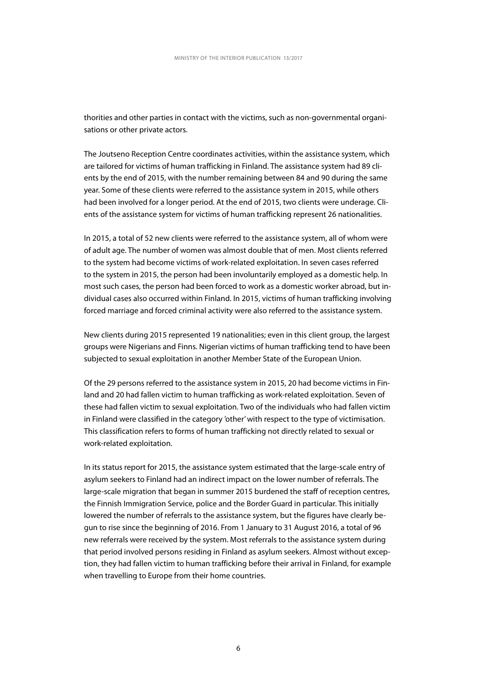thorities and other parties in contact with the victims, such as non-governmental organisations or other private actors.

The Joutseno Reception Centre coordinates activities, within the assistance system, which are tailored for victims of human trafficking in Finland. The assistance system had 89 clients by the end of 2015, with the number remaining between 84 and 90 during the same year. Some of these clients were referred to the assistance system in 2015, while others had been involved for a longer period. At the end of 2015, two clients were underage. Clients of the assistance system for victims of human trafficking represent 26 nationalities.

In 2015, a total of 52 new clients were referred to the assistance system, all of whom were of adult age. The number of women was almost double that of men. Most clients referred to the system had become victims of work-related exploitation. In seven cases referred to the system in 2015, the person had been involuntarily employed as a domestic help. In most such cases, the person had been forced to work as a domestic worker abroad, but individual cases also occurred within Finland. In 2015, victims of human trafficking involving forced marriage and forced criminal activity were also referred to the assistance system.

New clients during 2015 represented 19 nationalities; even in this client group, the largest groups were Nigerians and Finns. Nigerian victims of human trafficking tend to have been subjected to sexual exploitation in another Member State of the European Union.

Of the 29 persons referred to the assistance system in 2015, 20 had become victims in Finland and 20 had fallen victim to human trafficking as work-related exploitation. Seven of these had fallen victim to sexual exploitation. Two of the individuals who had fallen victim in Finland were classified in the category 'other' with respect to the type of victimisation. This classification refers to forms of human trafficking not directly related to sexual or work-related exploitation.

In its status report for 2015, the assistance system estimated that the large-scale entry of asylum seekers to Finland had an indirect impact on the lower number of referrals. The large-scale migration that began in summer 2015 burdened the staff of reception centres, the Finnish Immigration Service, police and the Border Guard in particular. This initially lowered the number of referrals to the assistance system, but the figures have clearly begun to rise since the beginning of 2016. From 1 January to 31 August 2016, a total of 96 new referrals were received by the system. Most referrals to the assistance system during that period involved persons residing in Finland as asylum seekers. Almost without exception, they had fallen victim to human trafficking before their arrival in Finland, for example when travelling to Europe from their home countries.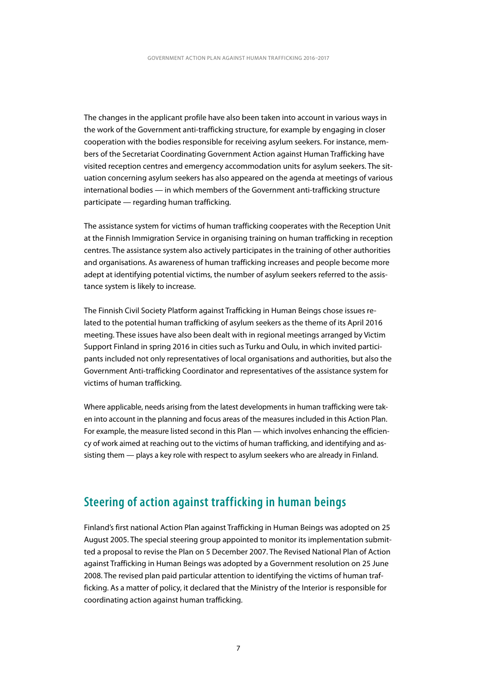<span id="page-8-0"></span>The changes in the applicant profile have also been taken into account in various ways in the work of the Government anti-trafficking structure, for example by engaging in closer cooperation with the bodies responsible for receiving asylum seekers. For instance, members of the Secretariat Coordinating Government Action against Human Trafficking have visited reception centres and emergency accommodation units for asylum seekers. The situation concerning asylum seekers has also appeared on the agenda at meetings of various international bodies — in which members of the Government anti-trafficking structure participate — regarding human trafficking.

The assistance system for victims of human trafficking cooperates with the Reception Unit at the Finnish Immigration Service in organising training on human trafficking in reception centres. The assistance system also actively participates in the training of other authorities and organisations. As awareness of human trafficking increases and people become more adept at identifying potential victims, the number of asylum seekers referred to the assistance system is likely to increase.

The Finnish Civil Society Platform against Trafficking in Human Beings chose issues related to the potential human trafficking of asylum seekers as the theme of its April 2016 meeting. These issues have also been dealt with in regional meetings arranged by Victim Support Finland in spring 2016 in cities such as Turku and Oulu, in which invited participants included not only representatives of local organisations and authorities, but also the Government Anti-trafficking Coordinator and representatives of the assistance system for victims of human trafficking.

Where applicable, needs arising from the latest developments in human trafficking were taken into account in the planning and focus areas of the measures included in this Action Plan. For example, the measure listed second in this Plan — which involves enhancing the efficiency of work aimed at reaching out to the victims of human trafficking, and identifying and assisting them — plays a key role with respect to asylum seekers who are already in Finland.

### **Steering of action against trafficking in human beings**

Finland's first national Action Plan against Trafficking in Human Beings was adopted on 25 August 2005. The special steering group appointed to monitor its implementation submitted a proposal to revise the Plan on 5 December 2007. The Revised National Plan of Action against Trafficking in Human Beings was adopted by a Government resolution on 25 June 2008. The revised plan paid particular attention to identifying the victims of human trafficking. As a matter of policy, it declared that the Ministry of the Interior is responsible for coordinating action against human trafficking.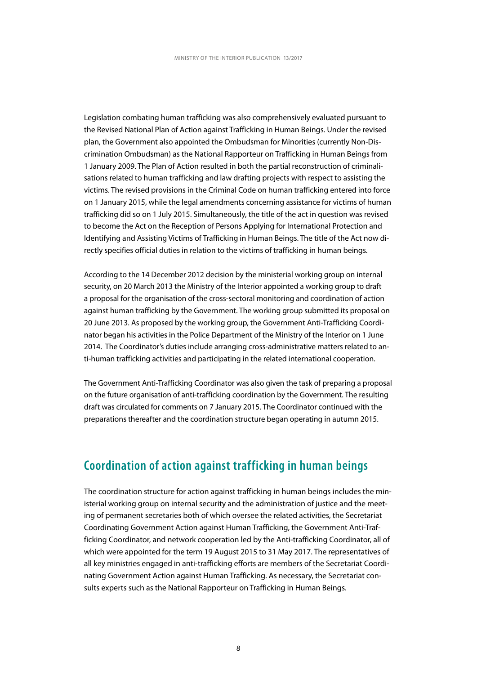<span id="page-9-0"></span>Legislation combating human trafficking was also comprehensively evaluated pursuant to the Revised National Plan of Action against Trafficking in Human Beings. Under the revised plan, the Government also appointed the Ombudsman for Minorities (currently Non-Discrimination Ombudsman) as the National Rapporteur on Trafficking in Human Beings from 1 January 2009. The Plan of Action resulted in both the partial reconstruction of criminalisations related to human trafficking and law drafting projects with respect to assisting the victims. The revised provisions in the Criminal Code on human trafficking entered into force on 1 January 2015, while the legal amendments concerning assistance for victims of human trafficking did so on 1 July 2015. Simultaneously, the title of the act in question was revised to become the Act on the Reception of Persons Applying for International Protection and Identifying and Assisting Victims of Trafficking in Human Beings. The title of the Act now directly specifies official duties in relation to the victims of trafficking in human beings.

According to the 14 December 2012 decision by the ministerial working group on internal security, on 20 March 2013 the Ministry of the Interior appointed a working group to draft a proposal for the organisation of the cross-sectoral monitoring and coordination of action against human trafficking by the Government. The working group submitted its proposal on 20 June 2013. As proposed by the working group, the Government Anti-Trafficking Coordinator began his activities in the Police Department of the Ministry of the Interior on 1 June 2014. The Coordinator's duties include arranging cross-administrative matters related to anti-human trafficking activities and participating in the related international cooperation.

The Government Anti-Trafficking Coordinator was also given the task of preparing a proposal on the future organisation of anti-trafficking coordination by the Government. The resulting draft was circulated for comments on 7 January 2015. The Coordinator continued with the preparations thereafter and the coordination structure began operating in autumn 2015.

### **Coordination of action against trafficking in human beings**

The coordination structure for action against trafficking in human beings includes the ministerial working group on internal security and the administration of justice and the meeting of permanent secretaries both of which oversee the related activities, the Secretariat Coordinating Government Action against Human Trafficking, the Government Anti-Trafficking Coordinator, and network cooperation led by the Anti-trafficking Coordinator, all of which were appointed for the term 19 August 2015 to 31 May 2017. The representatives of all key ministries engaged in anti-trafficking efforts are members of the Secretariat Coordinating Government Action against Human Trafficking. As necessary, the Secretariat consults experts such as the National Rapporteur on Trafficking in Human Beings.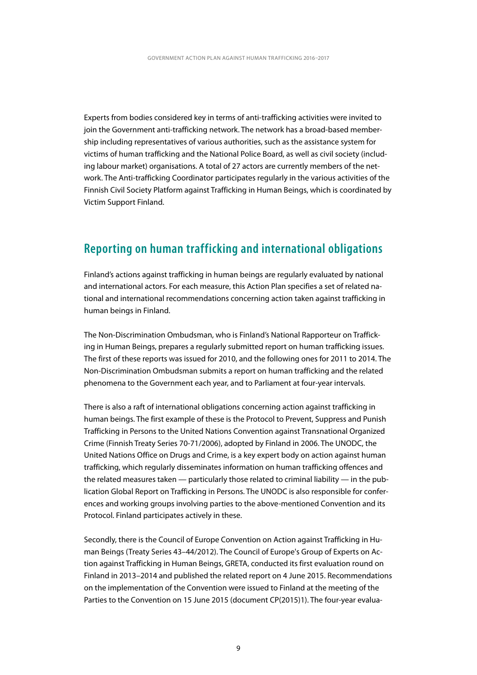<span id="page-10-0"></span>Experts from bodies considered key in terms of anti-trafficking activities were invited to join the Government anti-trafficking network. The network has a broad-based membership including representatives of various authorities, such as the assistance system for victims of human trafficking and the National Police Board, as well as civil society (including labour market) organisations. A total of 27 actors are currently members of the network. The Anti-trafficking Coordinator participates regularly in the various activities of the Finnish Civil Society Platform against Trafficking in Human Beings, which is coordinated by Victim Support Finland.

### **Reporting on human trafficking and international obligations**

Finland's actions against trafficking in human beings are regularly evaluated by national and international actors. For each measure, this Action Plan specifies a set of related national and international recommendations concerning action taken against trafficking in human beings in Finland.

The Non-Discrimination Ombudsman, who is Finland's National Rapporteur on Trafficking in Human Beings, prepares a regularly submitted report on human trafficking issues. The first of these reports was issued for 2010, and the following ones for 2011 to 2014. The Non-Discrimination Ombudsman submits a report on human trafficking and the related phenomena to the Government each year, and to Parliament at four-year intervals.

There is also a raft of international obligations concerning action against trafficking in human beings. The first example of these is the Protocol to Prevent, Suppress and Punish Trafficking in Persons to the United Nations Convention against Transnational Organized Crime (Finnish Treaty Series 70-71/2006), adopted by Finland in 2006. The UNODC, the United Nations Office on Drugs and Crime, is a key expert body on action against human trafficking, which regularly disseminates information on human trafficking offences and the related measures taken — particularly those related to criminal liability — in the publication Global Report on Trafficking in Persons. The UNODC is also responsible for conferences and working groups involving parties to the above-mentioned Convention and its Protocol. Finland participates actively in these.

Secondly, there is the Council of Europe Convention on Action against Trafficking in Human Beings (Treaty Series 43–44/2012). The Council of Europe's Group of Experts on Action against Trafficking in Human Beings, GRETA, conducted its first evaluation round on Finland in 2013–2014 and published the related report on 4 June 2015. Recommendations on the implementation of the Convention were issued to Finland at the meeting of the Parties to the Convention on 15 June 2015 (document CP(2015)1). The four-year evalua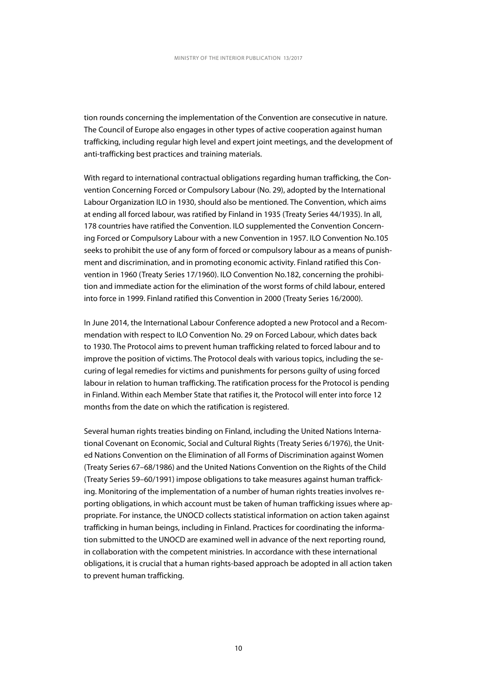tion rounds concerning the implementation of the Convention are consecutive in nature. The Council of Europe also engages in other types of active cooperation against human trafficking, including regular high level and expert joint meetings, and the development of anti-trafficking best practices and training materials.

With regard to international contractual obligations regarding human trafficking, the Convention Concerning Forced or Compulsory Labour (No. 29), adopted by the International Labour Organization ILO in 1930, should also be mentioned. The Convention, which aims at ending all forced labour, was ratified by Finland in 1935 (Treaty Series 44/1935). In all, 178 countries have ratified the Convention. ILO supplemented the Convention Concerning Forced or Compulsory Labour with a new Convention in 1957. ILO Convention No.105 seeks to prohibit the use of any form of forced or compulsory labour as a means of punishment and discrimination, and in promoting economic activity. Finland ratified this Convention in 1960 (Treaty Series 17/1960). ILO Convention No.182, concerning the prohibition and immediate action for the elimination of the worst forms of child labour, entered into force in 1999. Finland ratified this Convention in 2000 (Treaty Series 16/2000).

In June 2014, the International Labour Conference adopted a new Protocol and a Recommendation with respect to ILO Convention No. 29 on Forced Labour, which dates back to 1930. The Protocol aims to prevent human trafficking related to forced labour and to improve the position of victims. The Protocol deals with various topics, including the securing of legal remedies for victims and punishments for persons guilty of using forced labour in relation to human trafficking. The ratification process for the Protocol is pending in Finland. Within each Member State that ratifies it, the Protocol will enter into force 12 months from the date on which the ratification is registered.

Several human rights treaties binding on Finland, including the United Nations International Covenant on Economic, Social and Cultural Rights (Treaty Series 6/1976), the United Nations Convention on the Elimination of all Forms of Discrimination against Women (Treaty Series 67–68/1986) and the United Nations Convention on the Rights of the Child (Treaty Series 59–60/1991) impose obligations to take measures against human trafficking. Monitoring of the implementation of a number of human rights treaties involves reporting obligations, in which account must be taken of human trafficking issues where appropriate. For instance, the UNOCD collects statistical information on action taken against trafficking in human beings, including in Finland. Practices for coordinating the information submitted to the UNOCD are examined well in advance of the next reporting round, in collaboration with the competent ministries. In accordance with these international obligations, it is crucial that a human rights-based approach be adopted in all action taken to prevent human trafficking.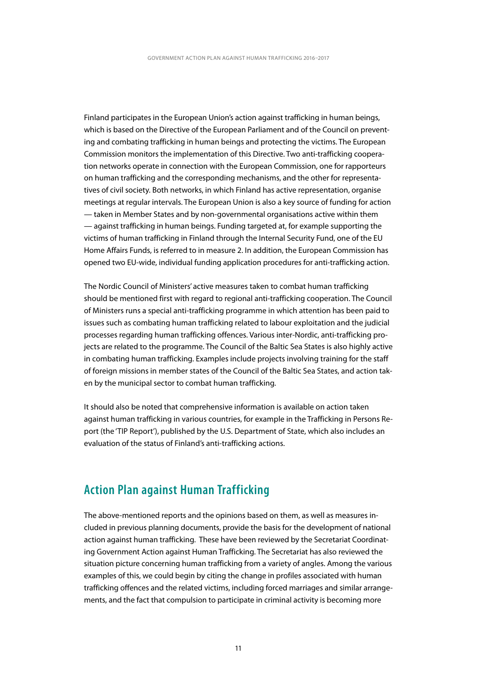<span id="page-12-0"></span>Finland participates in the European Union's action against trafficking in human beings, which is based on the Directive of the European Parliament and of the Council on preventing and combating trafficking in human beings and protecting the victims. The European Commission monitors the implementation of this Directive. Two anti-trafficking cooperation networks operate in connection with the European Commission, one for rapporteurs on human trafficking and the corresponding mechanisms, and the other for representatives of civil society. Both networks, in which Finland has active representation, organise meetings at regular intervals. The European Union is also a key source of funding for action — taken in Member States and by non-governmental organisations active within them — against trafficking in human beings. Funding targeted at, for example supporting the victims of human trafficking in Finland through the Internal Security Fund, one of the EU Home Affairs Funds, is referred to in measure 2. In addition, the European Commission has opened two EU-wide, individual funding application procedures for anti-trafficking action.

The Nordic Council of Ministers' active measures taken to combat human trafficking should be mentioned first with regard to regional anti-trafficking cooperation. The Council of Ministers runs a special anti-trafficking programme in which attention has been paid to issues such as combating human trafficking related to labour exploitation and the judicial processes regarding human trafficking offences. Various inter-Nordic, anti-trafficking projects are related to the programme. The Council of the Baltic Sea States is also highly active in combating human trafficking. Examples include projects involving training for the staff of foreign missions in member states of the Council of the Baltic Sea States, and action taken by the municipal sector to combat human trafficking.

It should also be noted that comprehensive information is available on action taken against human trafficking in various countries, for example in the Trafficking in Persons Report (the 'TIP Report'), published by the U.S. Department of State, which also includes an evaluation of the status of Finland's anti-trafficking actions.

### **Action Plan against Human Trafficking**

The above-mentioned reports and the opinions based on them, as well as measures included in previous planning documents, provide the basis for the development of national action against human trafficking. These have been reviewed by the Secretariat Coordinating Government Action against Human Trafficking. The Secretariat has also reviewed the situation picture concerning human trafficking from a variety of angles. Among the various examples of this, we could begin by citing the change in profiles associated with human trafficking offences and the related victims, including forced marriages and similar arrangements, and the fact that compulsion to participate in criminal activity is becoming more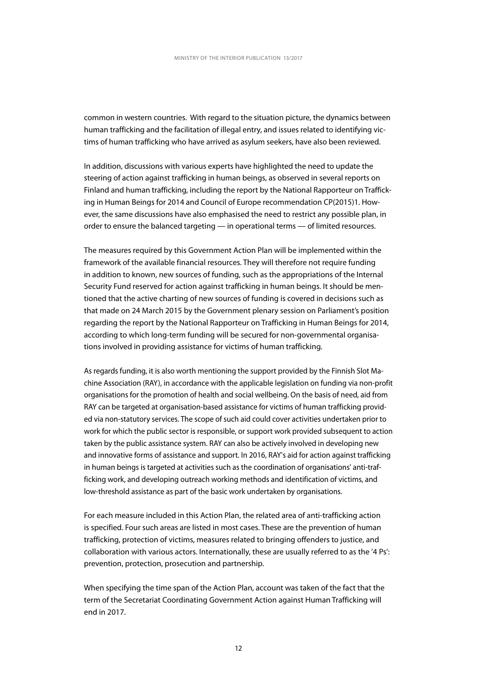common in western countries. With regard to the situation picture, the dynamics between human trafficking and the facilitation of illegal entry, and issues related to identifying victims of human trafficking who have arrived as asylum seekers, have also been reviewed.

In addition, discussions with various experts have highlighted the need to update the steering of action against trafficking in human beings, as observed in several reports on Finland and human trafficking, including the report by the National Rapporteur on Trafficking in Human Beings for 2014 and Council of Europe recommendation CP(2015)1. However, the same discussions have also emphasised the need to restrict any possible plan, in order to ensure the balanced targeting — in operational terms — of limited resources.

The measures required by this Government Action Plan will be implemented within the framework of the available financial resources. They will therefore not require funding in addition to known, new sources of funding, such as the appropriations of the Internal Security Fund reserved for action against trafficking in human beings. It should be mentioned that the active charting of new sources of funding is covered in decisions such as that made on 24 March 2015 by the Government plenary session on Parliament's position regarding the report by the National Rapporteur on Trafficking in Human Beings for 2014, according to which long-term funding will be secured for non-governmental organisations involved in providing assistance for victims of human trafficking.

As regards funding, it is also worth mentioning the support provided by the Finnish Slot Machine Association (RAY), in accordance with the applicable legislation on funding via non-profit organisations for the promotion of health and social wellbeing. On the basis of need, aid from RAY can be targeted at organisation-based assistance for victims of human trafficking provided via non-statutory services. The scope of such aid could cover activities undertaken prior to work for which the public sector is responsible, or support work provided subsequent to action taken by the public assistance system. RAY can also be actively involved in developing new and innovative forms of assistance and support. In 2016, RAY's aid for action against trafficking in human beings is targeted at activities such as the coordination of organisations' anti-trafficking work, and developing outreach working methods and identification of victims, and low-threshold assistance as part of the basic work undertaken by organisations.

For each measure included in this Action Plan, the related area of anti-trafficking action is specified. Four such areas are listed in most cases. These are the prevention of human trafficking, protection of victims, measures related to bringing offenders to justice, and collaboration with various actors. Internationally, these are usually referred to as the '4 Ps': prevention, protection, prosecution and partnership.

When specifying the time span of the Action Plan, account was taken of the fact that the term of the Secretariat Coordinating Government Action against Human Trafficking will end in 2017.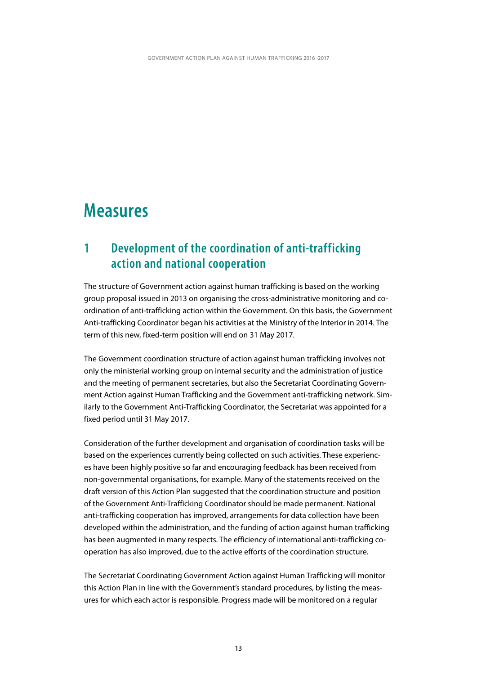# <span id="page-14-0"></span>**Measures**

### **1 Development of the coordination of anti-trafficking action and national cooperation**

The structure of Government action against human trafficking is based on the working group proposal issued in 2013 on organising the cross-administrative monitoring and coordination of anti-trafficking action within the Government. On this basis, the Government Anti-trafficking Coordinator began his activities at the Ministry of the Interior in 2014. The term of this new, fixed-term position will end on 31 May 2017.

The Government coordination structure of action against human trafficking involves not only the ministerial working group on internal security and the administration of justice and the meeting of permanent secretaries, but also the Secretariat Coordinating Government Action against Human Trafficking and the Government anti-trafficking network. Similarly to the Government Anti-Trafficking Coordinator, the Secretariat was appointed for a fixed period until 31 May 2017.

Consideration of the further development and organisation of coordination tasks will be based on the experiences currently being collected on such activities. These experiences have been highly positive so far and encouraging feedback has been received from non-governmental organisations, for example. Many of the statements received on the draft version of this Action Plan suggested that the coordination structure and position of the Government Anti-Trafficking Coordinator should be made permanent. National anti-trafficking cooperation has improved, arrangements for data collection have been developed within the administration, and the funding of action against human trafficking has been augmented in many respects. The efficiency of international anti-trafficking cooperation has also improved, due to the active efforts of the coordination structure.

The Secretariat Coordinating Government Action against Human Trafficking will monitor this Action Plan in line with the Government's standard procedures, by listing the measures for which each actor is responsible. Progress made will be monitored on a regular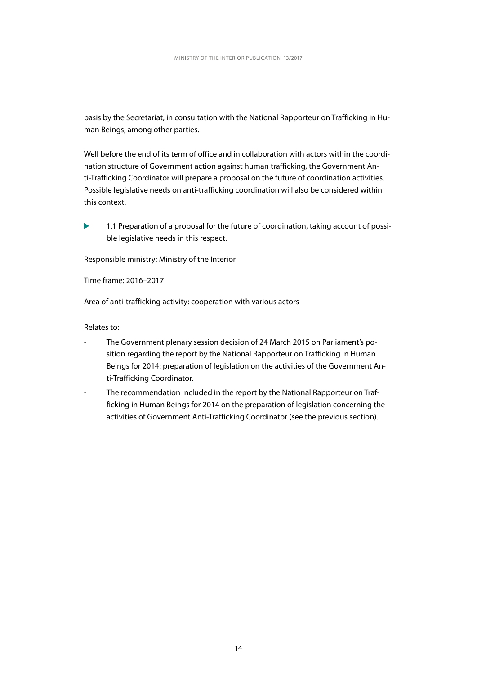basis by the Secretariat, in consultation with the National Rapporteur on Trafficking in Human Beings, among other parties.

Well before the end of its term of office and in collaboration with actors within the coordination structure of Government action against human trafficking, the Government Anti-Trafficking Coordinator will prepare a proposal on the future of coordination activities. Possible legislative needs on anti-trafficking coordination will also be considered within this context.

1.1 Preparation of a proposal for the future of coordination, taking account of possible legislative needs in this respect.

Responsible ministry: Ministry of the Interior

Time frame: 2016–2017

Area of anti-trafficking activity: cooperation with various actors

Relates to:

- The Government plenary session decision of 24 March 2015 on Parliament's position regarding the report by the National Rapporteur on Trafficking in Human Beings for 2014: preparation of legislation on the activities of the Government Anti-Trafficking Coordinator.
- The recommendation included in the report by the National Rapporteur on Trafficking in Human Beings for 2014 on the preparation of legislation concerning the activities of Government Anti-Trafficking Coordinator (see the previous section).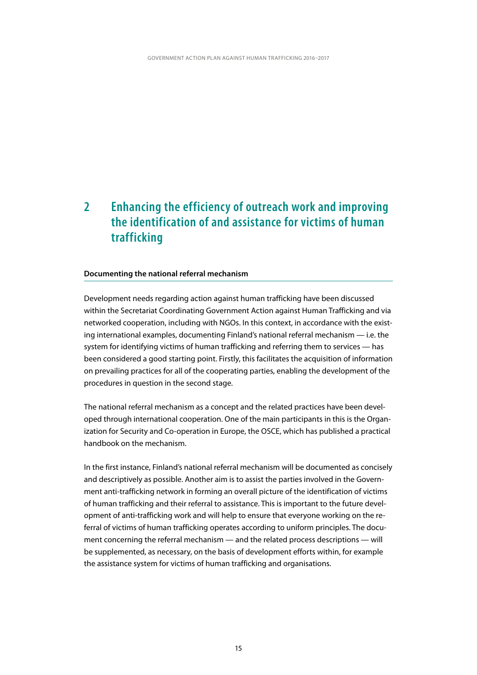### <span id="page-16-0"></span>**2 Enhancing the efficiency of outreach work and improving the identification of and assistance for victims of human trafficking**

#### **Documenting the national referral mechanism**

Development needs regarding action against human trafficking have been discussed within the Secretariat Coordinating Government Action against Human Trafficking and via networked cooperation, including with NGOs. In this context, in accordance with the existing international examples, documenting Finland's national referral mechanism — i.e. the system for identifying victims of human trafficking and referring them to services — has been considered a good starting point. Firstly, this facilitates the acquisition of information on prevailing practices for all of the cooperating parties, enabling the development of the procedures in question in the second stage.

The national referral mechanism as a concept and the related practices have been developed through international cooperation. One of the main participants in this is the Organization for Security and Co-operation in Europe, the OSCE, which has published a practical handbook on the mechanism.

In the first instance, Finland's national referral mechanism will be documented as concisely and descriptively as possible. Another aim is to assist the parties involved in the Government anti-trafficking network in forming an overall picture of the identification of victims of human trafficking and their referral to assistance. This is important to the future development of anti-trafficking work and will help to ensure that everyone working on the referral of victims of human trafficking operates according to uniform principles. The document concerning the referral mechanism — and the related process descriptions — will be supplemented, as necessary, on the basis of development efforts within, for example the assistance system for victims of human trafficking and organisations.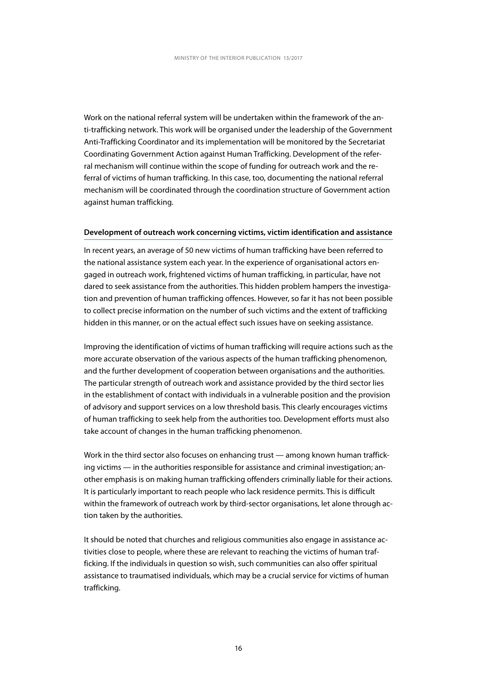Work on the national referral system will be undertaken within the framework of the anti-trafficking network. This work will be organised under the leadership of the Government Anti-Trafficking Coordinator and its implementation will be monitored by the Secretariat Coordinating Government Action against Human Trafficking. Development of the referral mechanism will continue within the scope of funding for outreach work and the referral of victims of human trafficking. In this case, too, documenting the national referral mechanism will be coordinated through the coordination structure of Government action against human trafficking.

#### **Development of outreach work concerning victims, victim identification and assistance**

In recent years, an average of 50 new victims of human trafficking have been referred to the national assistance system each year. In the experience of organisational actors engaged in outreach work, frightened victims of human trafficking, in particular, have not dared to seek assistance from the authorities. This hidden problem hampers the investigation and prevention of human trafficking offences. However, so far it has not been possible to collect precise information on the number of such victims and the extent of trafficking hidden in this manner, or on the actual effect such issues have on seeking assistance.

Improving the identification of victims of human trafficking will require actions such as the more accurate observation of the various aspects of the human trafficking phenomenon, and the further development of cooperation between organisations and the authorities. The particular strength of outreach work and assistance provided by the third sector lies in the establishment of contact with individuals in a vulnerable position and the provision of advisory and support services on a low threshold basis. This clearly encourages victims of human trafficking to seek help from the authorities too. Development efforts must also take account of changes in the human trafficking phenomenon.

Work in the third sector also focuses on enhancing trust — among known human trafficking victims — in the authorities responsible for assistance and criminal investigation; another emphasis is on making human trafficking offenders criminally liable for their actions. It is particularly important to reach people who lack residence permits. This is difficult within the framework of outreach work by third-sector organisations, let alone through action taken by the authorities.

It should be noted that churches and religious communities also engage in assistance activities close to people, where these are relevant to reaching the victims of human trafficking. If the individuals in question so wish, such communities can also offer spiritual assistance to traumatised individuals, which may be a crucial service for victims of human trafficking.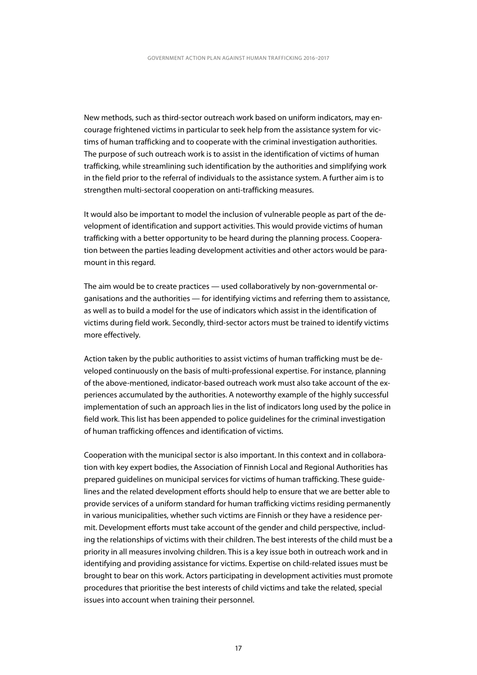New methods, such as third-sector outreach work based on uniform indicators, may encourage frightened victims in particular to seek help from the assistance system for victims of human trafficking and to cooperate with the criminal investigation authorities. The purpose of such outreach work is to assist in the identification of victims of human trafficking, while streamlining such identification by the authorities and simplifying work in the field prior to the referral of individuals to the assistance system. A further aim is to strengthen multi-sectoral cooperation on anti-trafficking measures.

It would also be important to model the inclusion of vulnerable people as part of the development of identification and support activities. This would provide victims of human trafficking with a better opportunity to be heard during the planning process. Cooperation between the parties leading development activities and other actors would be paramount in this regard.

The aim would be to create practices — used collaboratively by non-governmental organisations and the authorities — for identifying victims and referring them to assistance, as well as to build a model for the use of indicators which assist in the identification of victims during field work. Secondly, third-sector actors must be trained to identify victims more effectively.

Action taken by the public authorities to assist victims of human trafficking must be developed continuously on the basis of multi-professional expertise. For instance, planning of the above-mentioned, indicator-based outreach work must also take account of the experiences accumulated by the authorities. A noteworthy example of the highly successful implementation of such an approach lies in the list of indicators long used by the police in field work. This list has been appended to police guidelines for the criminal investigation of human trafficking offences and identification of victims.

Cooperation with the municipal sector is also important. In this context and in collaboration with key expert bodies, the Association of Finnish Local and Regional Authorities has prepared guidelines on municipal services for victims of human trafficking. These guidelines and the related development efforts should help to ensure that we are better able to provide services of a uniform standard for human trafficking victims residing permanently in various municipalities, whether such victims are Finnish or they have a residence permit. Development efforts must take account of the gender and child perspective, including the relationships of victims with their children. The best interests of the child must be a priority in all measures involving children. This is a key issue both in outreach work and in identifying and providing assistance for victims. Expertise on child-related issues must be brought to bear on this work. Actors participating in development activities must promote procedures that prioritise the best interests of child victims and take the related, special issues into account when training their personnel.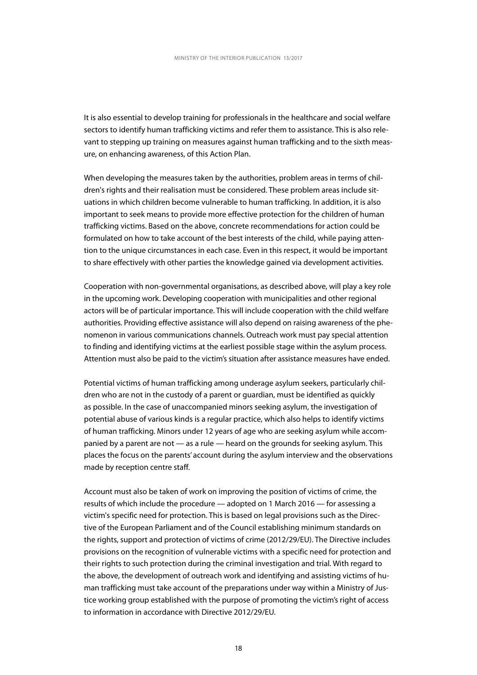It is also essential to develop training for professionals in the healthcare and social welfare sectors to identify human trafficking victims and refer them to assistance. This is also relevant to stepping up training on measures against human trafficking and to the sixth measure, on enhancing awareness, of this Action Plan.

When developing the measures taken by the authorities, problem areas in terms of children's rights and their realisation must be considered. These problem areas include situations in which children become vulnerable to human trafficking. In addition, it is also important to seek means to provide more effective protection for the children of human trafficking victims. Based on the above, concrete recommendations for action could be formulated on how to take account of the best interests of the child, while paying attention to the unique circumstances in each case. Even in this respect, it would be important to share effectively with other parties the knowledge gained via development activities.

Cooperation with non-governmental organisations, as described above, will play a key role in the upcoming work. Developing cooperation with municipalities and other regional actors will be of particular importance. This will include cooperation with the child welfare authorities. Providing effective assistance will also depend on raising awareness of the phenomenon in various communications channels. Outreach work must pay special attention to finding and identifying victims at the earliest possible stage within the asylum process. Attention must also be paid to the victim's situation after assistance measures have ended.

Potential victims of human trafficking among underage asylum seekers, particularly children who are not in the custody of a parent or guardian, must be identified as quickly as possible. In the case of unaccompanied minors seeking asylum, the investigation of potential abuse of various kinds is a regular practice, which also helps to identify victims of human trafficking. Minors under 12 years of age who are seeking asylum while accompanied by a parent are not — as a rule — heard on the grounds for seeking asylum. This places the focus on the parents' account during the asylum interview and the observations made by reception centre staff.

Account must also be taken of work on improving the position of victims of crime, the results of which include the procedure — adopted on 1 March 2016 — for assessing a victim's specific need for protection. This is based on legal provisions such as the Directive of the European Parliament and of the Council establishing minimum standards on the rights, support and protection of victims of crime (2012/29/EU). The Directive includes provisions on the recognition of vulnerable victims with a specific need for protection and their rights to such protection during the criminal investigation and trial. With regard to the above, the development of outreach work and identifying and assisting victims of human trafficking must take account of the preparations under way within a Ministry of Justice working group established with the purpose of promoting the victim's right of access to information in accordance with Directive 2012/29/EU.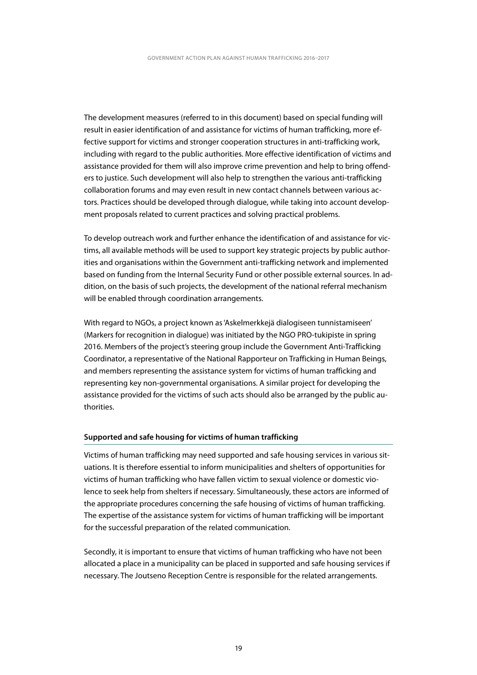The development measures (referred to in this document) based on special funding will result in easier identification of and assistance for victims of human trafficking, more effective support for victims and stronger cooperation structures in anti-trafficking work, including with regard to the public authorities. More effective identification of victims and assistance provided for them will also improve crime prevention and help to bring offenders to justice. Such development will also help to strengthen the various anti-trafficking collaboration forums and may even result in new contact channels between various actors. Practices should be developed through dialogue, while taking into account development proposals related to current practices and solving practical problems.

To develop outreach work and further enhance the identification of and assistance for victims, all available methods will be used to support key strategic projects by public authorities and organisations within the Government anti-trafficking network and implemented based on funding from the Internal Security Fund or other possible external sources. In addition, on the basis of such projects, the development of the national referral mechanism will be enabled through coordination arrangements.

With regard to NGOs, a project known as 'Askelmerkkejä dialogiseen tunnistamiseen' (Markers for recognition in dialogue) was initiated by the NGO PRO-tukipiste in spring 2016. Members of the project's steering group include the Government Anti-Trafficking Coordinator, a representative of the National Rapporteur on Trafficking in Human Beings, and members representing the assistance system for victims of human trafficking and representing key non-governmental organisations. A similar project for developing the assistance provided for the victims of such acts should also be arranged by the public authorities.

#### **Supported and safe housing for victims of human trafficking**

Victims of human trafficking may need supported and safe housing services in various situations. It is therefore essential to inform municipalities and shelters of opportunities for victims of human trafficking who have fallen victim to sexual violence or domestic violence to seek help from shelters if necessary. Simultaneously, these actors are informed of the appropriate procedures concerning the safe housing of victims of human trafficking. The expertise of the assistance system for victims of human trafficking will be important for the successful preparation of the related communication.

Secondly, it is important to ensure that victims of human trafficking who have not been allocated a place in a municipality can be placed in supported and safe housing services if necessary. The Joutseno Reception Centre is responsible for the related arrangements.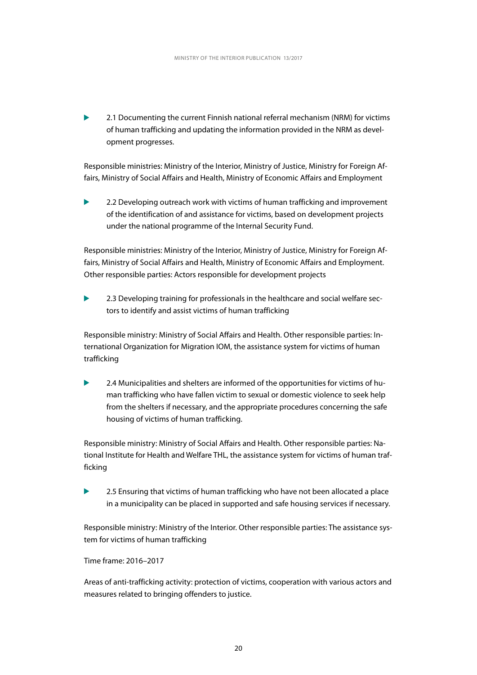2.1 Documenting the current Finnish national referral mechanism (NRM) for victims of human trafficking and updating the information provided in the NRM as development progresses.

Responsible ministries: Ministry of the Interior, Ministry of Justice, Ministry for Foreign Affairs, Ministry of Social Affairs and Health, Ministry of Economic Affairs and Employment

2.2 Developing outreach work with victims of human trafficking and improvement of the identification of and assistance for victims, based on development projects under the national programme of the Internal Security Fund.

Responsible ministries: Ministry of the Interior, Ministry of Justice, Ministry for Foreign Affairs, Ministry of Social Affairs and Health, Ministry of Economic Affairs and Employment. Other responsible parties: Actors responsible for development projects

2.3 Developing training for professionals in the healthcare and social welfare sectors to identify and assist victims of human trafficking

Responsible ministry: Ministry of Social Affairs and Health. Other responsible parties: International Organization for Migration IOM, the assistance system for victims of human trafficking

2.4 Municipalities and shelters are informed of the opportunities for victims of human trafficking who have fallen victim to sexual or domestic violence to seek help from the shelters if necessary, and the appropriate procedures concerning the safe housing of victims of human trafficking.

Responsible ministry: Ministry of Social Affairs and Health. Other responsible parties: National Institute for Health and Welfare THL, the assistance system for victims of human trafficking

2.5 Ensuring that victims of human trafficking who have not been allocated a place ь in a municipality can be placed in supported and safe housing services if necessary.

Responsible ministry: Ministry of the Interior. Other responsible parties: The assistance system for victims of human trafficking

Time frame: 2016–2017

Areas of anti-trafficking activity: protection of victims, cooperation with various actors and measures related to bringing offenders to justice.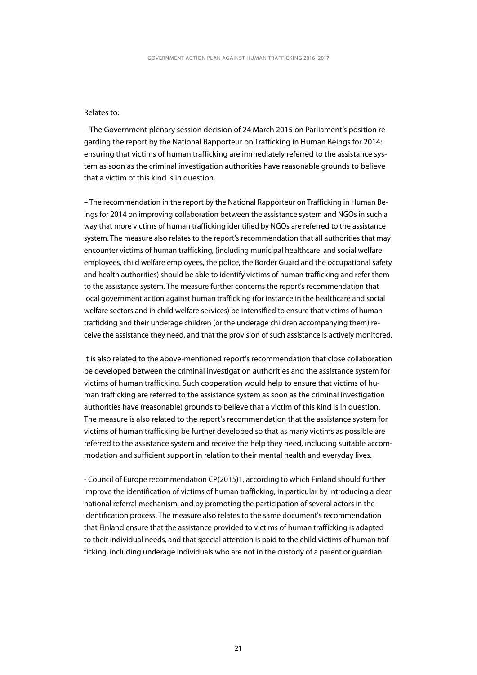#### Relates to:

– The Government plenary session decision of 24 March 2015 on Parliament's position regarding the report by the National Rapporteur on Trafficking in Human Beings for 2014: ensuring that victims of human trafficking are immediately referred to the assistance system as soon as the criminal investigation authorities have reasonable grounds to believe that a victim of this kind is in question.

– The recommendation in the report by the National Rapporteur on Trafficking in Human Beings for 2014 on improving collaboration between the assistance system and NGOs in such a way that more victims of human trafficking identified by NGOs are referred to the assistance system. The measure also relates to the report's recommendation that all authorities that may encounter victims of human trafficking, (including municipal healthcare and social welfare employees, child welfare employees, the police, the Border Guard and the occupational safety and health authorities) should be able to identify victims of human trafficking and refer them to the assistance system. The measure further concerns the report's recommendation that local government action against human trafficking (for instance in the healthcare and social welfare sectors and in child welfare services) be intensified to ensure that victims of human trafficking and their underage children (or the underage children accompanying them) receive the assistance they need, and that the provision of such assistance is actively monitored.

It is also related to the above-mentioned report's recommendation that close collaboration be developed between the criminal investigation authorities and the assistance system for victims of human trafficking. Such cooperation would help to ensure that victims of human trafficking are referred to the assistance system as soon as the criminal investigation authorities have (reasonable) grounds to believe that a victim of this kind is in question. The measure is also related to the report's recommendation that the assistance system for victims of human trafficking be further developed so that as many victims as possible are referred to the assistance system and receive the help they need, including suitable accommodation and sufficient support in relation to their mental health and everyday lives.

- Council of Europe recommendation CP(2015)1, according to which Finland should further improve the identification of victims of human trafficking, in particular by introducing a clear national referral mechanism, and by promoting the participation of several actors in the identification process. The measure also relates to the same document's recommendation that Finland ensure that the assistance provided to victims of human trafficking is adapted to their individual needs, and that special attention is paid to the child victims of human trafficking, including underage individuals who are not in the custody of a parent or guardian.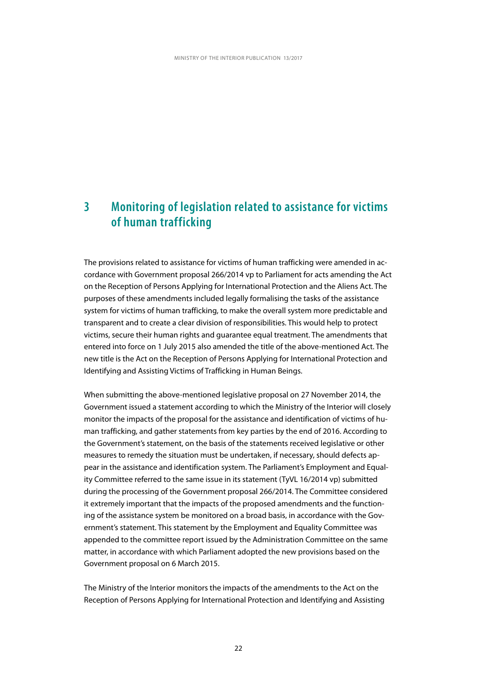### <span id="page-23-0"></span>**3 Monitoring of legislation related to assistance for victims of human trafficking**

The provisions related to assistance for victims of human trafficking were amended in accordance with Government proposal 266/2014 vp to Parliament for acts amending the Act on the Reception of Persons Applying for International Protection and the Aliens Act. The purposes of these amendments included legally formalising the tasks of the assistance system for victims of human trafficking, to make the overall system more predictable and transparent and to create a clear division of responsibilities. This would help to protect victims, secure their human rights and guarantee equal treatment. The amendments that entered into force on 1 July 2015 also amended the title of the above-mentioned Act. The new title is the Act on the Reception of Persons Applying for International Protection and Identifying and Assisting Victims of Trafficking in Human Beings.

When submitting the above-mentioned legislative proposal on 27 November 2014, the Government issued a statement according to which the Ministry of the Interior will closely monitor the impacts of the proposal for the assistance and identification of victims of human trafficking, and gather statements from key parties by the end of 2016. According to the Government's statement, on the basis of the statements received legislative or other measures to remedy the situation must be undertaken, if necessary, should defects appear in the assistance and identification system. The Parliament's Employment and Equality Committee referred to the same issue in its statement (TyVL 16/2014 vp) submitted during the processing of the Government proposal 266/2014. The Committee considered it extremely important that the impacts of the proposed amendments and the functioning of the assistance system be monitored on a broad basis, in accordance with the Government's statement. This statement by the Employment and Equality Committee was appended to the committee report issued by the Administration Committee on the same matter, in accordance with which Parliament adopted the new provisions based on the Government proposal on 6 March 2015.

The Ministry of the Interior monitors the impacts of the amendments to the Act on the Reception of Persons Applying for International Protection and Identifying and Assisting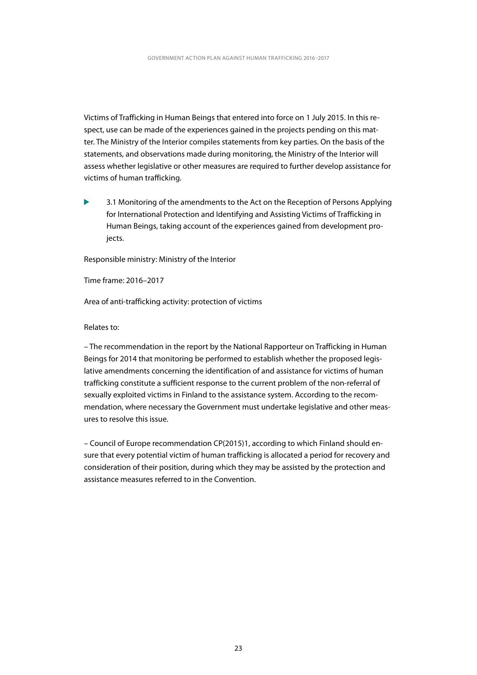Victims of Trafficking in Human Beings that entered into force on 1 July 2015. In this respect, use can be made of the experiences gained in the projects pending on this matter. The Ministry of the Interior compiles statements from key parties. On the basis of the statements, and observations made during monitoring, the Ministry of the Interior will assess whether legislative or other measures are required to further develop assistance for victims of human trafficking.

3.1 Monitoring of the amendments to the Act on the Reception of Persons Applying for International Protection and Identifying and Assisting Victims of Trafficking in Human Beings, taking account of the experiences gained from development projects.

Responsible ministry: Ministry of the Interior

Time frame: 2016–2017

Area of anti-trafficking activity: protection of victims

Relates to:

– The recommendation in the report by the National Rapporteur on Trafficking in Human Beings for 2014 that monitoring be performed to establish whether the proposed legislative amendments concerning the identification of and assistance for victims of human trafficking constitute a sufficient response to the current problem of the non-referral of sexually exploited victims in Finland to the assistance system. According to the recommendation, where necessary the Government must undertake legislative and other measures to resolve this issue.

– Council of Europe recommendation CP(2015)1, according to which Finland should ensure that every potential victim of human trafficking is allocated a period for recovery and consideration of their position, during which they may be assisted by the protection and assistance measures referred to in the Convention.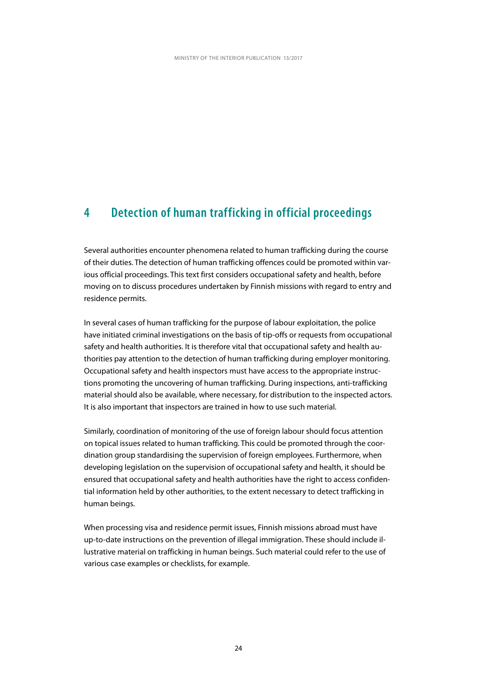### <span id="page-25-0"></span>**4 Detection of human trafficking in official proceedings**

Several authorities encounter phenomena related to human trafficking during the course of their duties. The detection of human trafficking offences could be promoted within various official proceedings. This text first considers occupational safety and health, before moving on to discuss procedures undertaken by Finnish missions with regard to entry and residence permits.

In several cases of human trafficking for the purpose of labour exploitation, the police have initiated criminal investigations on the basis of tip-offs or requests from occupational safety and health authorities. It is therefore vital that occupational safety and health authorities pay attention to the detection of human trafficking during employer monitoring. Occupational safety and health inspectors must have access to the appropriate instructions promoting the uncovering of human trafficking. During inspections, anti-trafficking material should also be available, where necessary, for distribution to the inspected actors. It is also important that inspectors are trained in how to use such material.

Similarly, coordination of monitoring of the use of foreign labour should focus attention on topical issues related to human trafficking. This could be promoted through the coordination group standardising the supervision of foreign employees. Furthermore, when developing legislation on the supervision of occupational safety and health, it should be ensured that occupational safety and health authorities have the right to access confidential information held by other authorities, to the extent necessary to detect trafficking in human beings.

When processing visa and residence permit issues, Finnish missions abroad must have up-to-date instructions on the prevention of illegal immigration. These should include illustrative material on trafficking in human beings. Such material could refer to the use of various case examples or checklists, for example.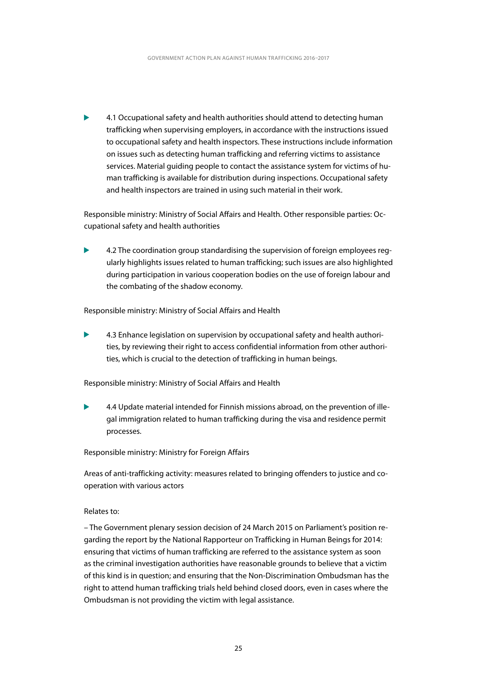4.1 Occupational safety and health authorities should attend to detecting human trafficking when supervising employers, in accordance with the instructions issued to occupational safety and health inspectors. These instructions include information on issues such as detecting human trafficking and referring victims to assistance services. Material guiding people to contact the assistance system for victims of human trafficking is available for distribution during inspections. Occupational safety and health inspectors are trained in using such material in their work.

Responsible ministry: Ministry of Social Affairs and Health. Other responsible parties: Occupational safety and health authorities

4.2 The coordination group standardising the supervision of foreign employees regularly highlights issues related to human trafficking; such issues are also highlighted during participation in various cooperation bodies on the use of foreign labour and the combating of the shadow economy.

Responsible ministry: Ministry of Social Affairs and Health

4.3 Enhance legislation on supervision by occupational safety and health authorities, by reviewing their right to access confidential information from other authorities, which is crucial to the detection of trafficking in human beings.

Responsible ministry: Ministry of Social Affairs and Health

4.4 Update material intended for Finnish missions abroad, on the prevention of illegal immigration related to human trafficking during the visa and residence permit processes.

Responsible ministry: Ministry for Foreign Affairs

Areas of anti-trafficking activity: measures related to bringing offenders to justice and cooperation with various actors

#### Relates to:

– The Government plenary session decision of 24 March 2015 on Parliament's position regarding the report by the National Rapporteur on Trafficking in Human Beings for 2014: ensuring that victims of human trafficking are referred to the assistance system as soon as the criminal investigation authorities have reasonable grounds to believe that a victim of this kind is in question; and ensuring that the Non-Discrimination Ombudsman has the right to attend human trafficking trials held behind closed doors, even in cases where the Ombudsman is not providing the victim with legal assistance.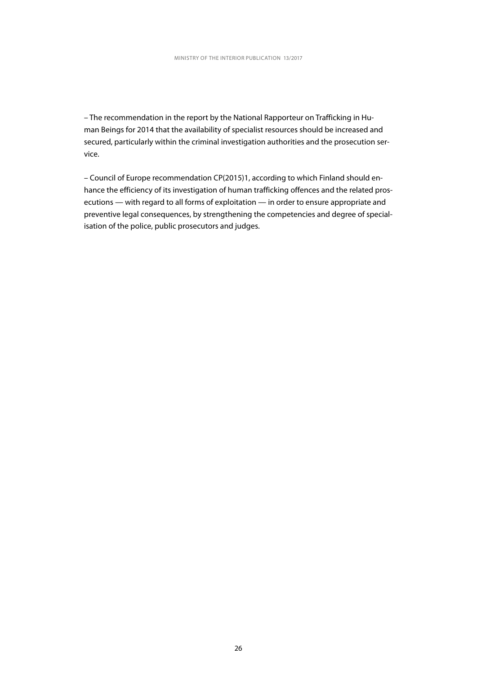– The recommendation in the report by the National Rapporteur on Trafficking in Human Beings for 2014 that the availability of specialist resources should be increased and secured, particularly within the criminal investigation authorities and the prosecution service.

– Council of Europe recommendation CP(2015)1, according to which Finland should enhance the efficiency of its investigation of human trafficking offences and the related prosecutions — with regard to all forms of exploitation — in order to ensure appropriate and preventive legal consequences, by strengthening the competencies and degree of specialisation of the police, public prosecutors and judges.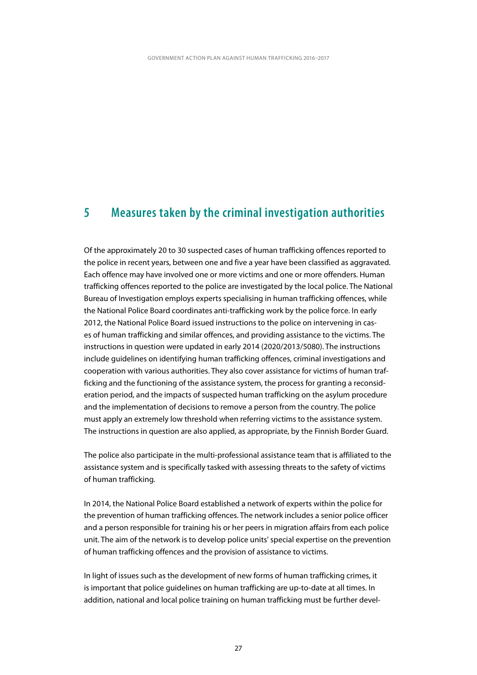#### <span id="page-28-0"></span>**5 Measures taken by the criminal investigation authorities**

Of the approximately 20 to 30 suspected cases of human trafficking offences reported to the police in recent years, between one and five a year have been classified as aggravated. Each offence may have involved one or more victims and one or more offenders. Human trafficking offences reported to the police are investigated by the local police. The National Bureau of Investigation employs experts specialising in human trafficking offences, while the National Police Board coordinates anti-trafficking work by the police force. In early 2012, the National Police Board issued instructions to the police on intervening in cases of human trafficking and similar offences, and providing assistance to the victims. The instructions in question were updated in early 2014 (2020/2013/5080). The instructions include guidelines on identifying human trafficking offences, criminal investigations and cooperation with various authorities. They also cover assistance for victims of human trafficking and the functioning of the assistance system, the process for granting a reconsideration period, and the impacts of suspected human trafficking on the asylum procedure and the implementation of decisions to remove a person from the country. The police must apply an extremely low threshold when referring victims to the assistance system. The instructions in question are also applied, as appropriate, by the Finnish Border Guard.

The police also participate in the multi-professional assistance team that is affiliated to the assistance system and is specifically tasked with assessing threats to the safety of victims of human trafficking.

In 2014, the National Police Board established a network of experts within the police for the prevention of human trafficking offences. The network includes a senior police officer and a person responsible for training his or her peers in migration affairs from each police unit. The aim of the network is to develop police units' special expertise on the prevention of human trafficking offences and the provision of assistance to victims.

In light of issues such as the development of new forms of human trafficking crimes, it is important that police guidelines on human trafficking are up-to-date at all times. In addition, national and local police training on human trafficking must be further devel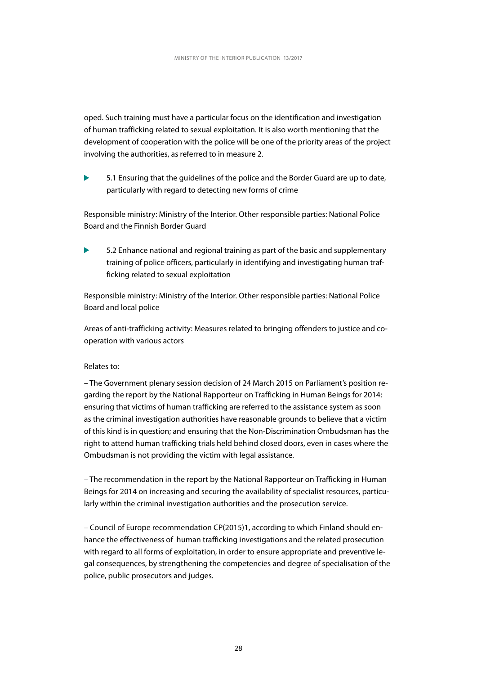oped. Such training must have a particular focus on the identification and investigation of human trafficking related to sexual exploitation. It is also worth mentioning that the development of cooperation with the police will be one of the priority areas of the project involving the authorities, as referred to in measure 2.

5.1 Ensuring that the guidelines of the police and the Border Guard are up to date, ь particularly with regard to detecting new forms of crime

Responsible ministry: Ministry of the Interior. Other responsible parties: National Police Board and the Finnish Border Guard

5.2 Enhance national and regional training as part of the basic and supplementary training of police officers, particularly in identifying and investigating human trafficking related to sexual exploitation

Responsible ministry: Ministry of the Interior. Other responsible parties: National Police Board and local police

Areas of anti-trafficking activity: Measures related to bringing offenders to justice and cooperation with various actors

#### Relates to:

– The Government plenary session decision of 24 March 2015 on Parliament's position regarding the report by the National Rapporteur on Trafficking in Human Beings for 2014: ensuring that victims of human trafficking are referred to the assistance system as soon as the criminal investigation authorities have reasonable grounds to believe that a victim of this kind is in question; and ensuring that the Non-Discrimination Ombudsman has the right to attend human trafficking trials held behind closed doors, even in cases where the Ombudsman is not providing the victim with legal assistance.

– The recommendation in the report by the National Rapporteur on Trafficking in Human Beings for 2014 on increasing and securing the availability of specialist resources, particularly within the criminal investigation authorities and the prosecution service.

– Council of Europe recommendation CP(2015)1, according to which Finland should enhance the effectiveness of human trafficking investigations and the related prosecution with regard to all forms of exploitation, in order to ensure appropriate and preventive legal consequences, by strengthening the competencies and degree of specialisation of the police, public prosecutors and judges.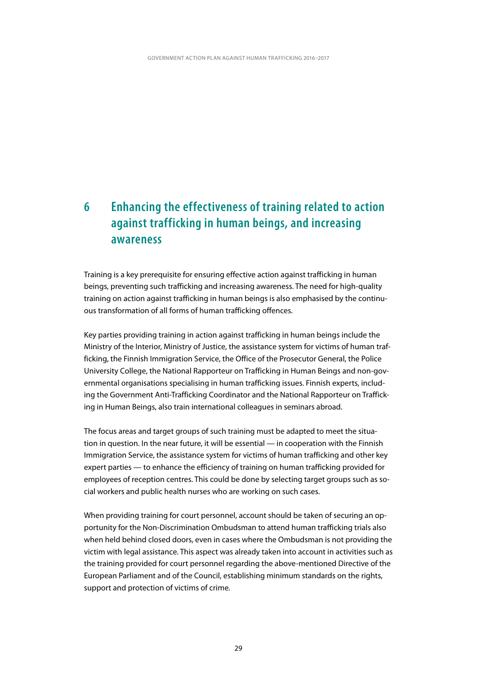### <span id="page-30-0"></span>**6 Enhancing the effectiveness of training related to action against trafficking in human beings, and increasing awareness**

Training is a key prerequisite for ensuring effective action against trafficking in human beings, preventing such trafficking and increasing awareness. The need for high-quality training on action against trafficking in human beings is also emphasised by the continuous transformation of all forms of human trafficking offences.

Key parties providing training in action against trafficking in human beings include the Ministry of the Interior, Ministry of Justice, the assistance system for victims of human trafficking, the Finnish Immigration Service, the Office of the Prosecutor General, the Police University College, the National Rapporteur on Trafficking in Human Beings and non-governmental organisations specialising in human trafficking issues. Finnish experts, including the Government Anti-Trafficking Coordinator and the National Rapporteur on Trafficking in Human Beings, also train international colleagues in seminars abroad.

The focus areas and target groups of such training must be adapted to meet the situation in question. In the near future, it will be essential — in cooperation with the Finnish Immigration Service, the assistance system for victims of human trafficking and other key expert parties — to enhance the efficiency of training on human trafficking provided for employees of reception centres. This could be done by selecting target groups such as social workers and public health nurses who are working on such cases.

When providing training for court personnel, account should be taken of securing an opportunity for the Non-Discrimination Ombudsman to attend human trafficking trials also when held behind closed doors, even in cases where the Ombudsman is not providing the victim with legal assistance. This aspect was already taken into account in activities such as the training provided for court personnel regarding the above-mentioned Directive of the European Parliament and of the Council, establishing minimum standards on the rights, support and protection of victims of crime.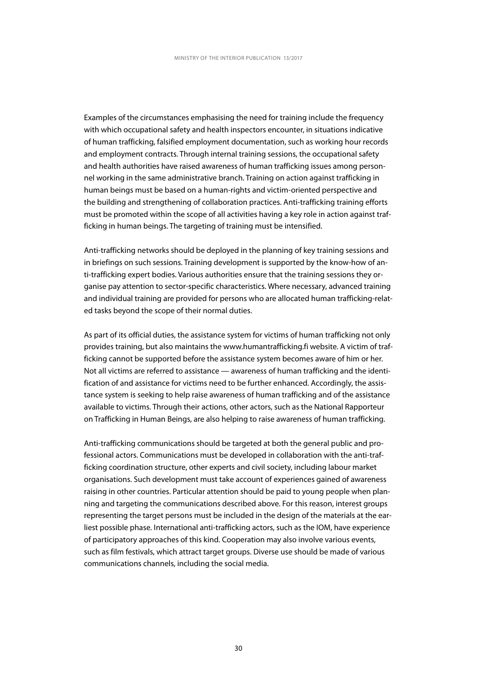Examples of the circumstances emphasising the need for training include the frequency with which occupational safety and health inspectors encounter, in situations indicative of human trafficking, falsified employment documentation, such as working hour records and employment contracts. Through internal training sessions, the occupational safety and health authorities have raised awareness of human trafficking issues among personnel working in the same administrative branch. Training on action against trafficking in human beings must be based on a human-rights and victim-oriented perspective and the building and strengthening of collaboration practices. Anti-trafficking training efforts must be promoted within the scope of all activities having a key role in action against trafficking in human beings. The targeting of training must be intensified.

Anti-trafficking networks should be deployed in the planning of key training sessions and in briefings on such sessions. Training development is supported by the know-how of anti-trafficking expert bodies. Various authorities ensure that the training sessions they organise pay attention to sector-specific characteristics. Where necessary, advanced training and individual training are provided for persons who are allocated human trafficking-related tasks beyond the scope of their normal duties.

As part of its official duties, the assistance system for victims of human trafficking not only provides training, but also maintains the www.humantrafficking.fi website. A victim of trafficking cannot be supported before the assistance system becomes aware of him or her. Not all victims are referred to assistance — awareness of human trafficking and the identification of and assistance for victims need to be further enhanced. Accordingly, the assistance system is seeking to help raise awareness of human trafficking and of the assistance available to victims. Through their actions, other actors, such as the National Rapporteur on Trafficking in Human Beings, are also helping to raise awareness of human trafficking.

Anti-trafficking communications should be targeted at both the general public and professional actors. Communications must be developed in collaboration with the anti-trafficking coordination structure, other experts and civil society, including labour market organisations. Such development must take account of experiences gained of awareness raising in other countries. Particular attention should be paid to young people when planning and targeting the communications described above. For this reason, interest groups representing the target persons must be included in the design of the materials at the earliest possible phase. International anti-trafficking actors, such as the IOM, have experience of participatory approaches of this kind. Cooperation may also involve various events, such as film festivals, which attract target groups. Diverse use should be made of various communications channels, including the social media.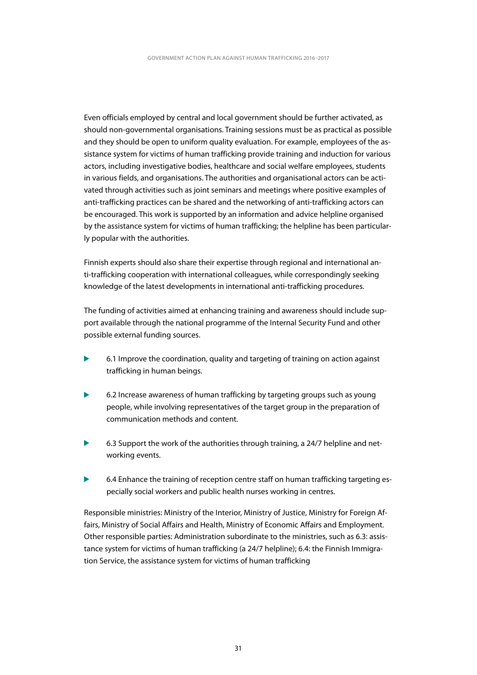Even officials employed by central and local government should be further activated, as should non-governmental organisations. Training sessions must be as practical as possible and they should be open to uniform quality evaluation. For example, employees of the assistance system for victims of human trafficking provide training and induction for various actors, including investigative bodies, healthcare and social welfare employees, students in various fields, and organisations. The authorities and organisational actors can be activated through activities such as joint seminars and meetings where positive examples of anti-trafficking practices can be shared and the networking of anti-trafficking actors can be encouraged. This work is supported by an information and advice helpline organised by the assistance system for victims of human trafficking; the helpline has been particularly popular with the authorities.

Finnish experts should also share their expertise through regional and international anti-trafficking cooperation with international colleagues, while correspondingly seeking knowledge of the latest developments in international anti-trafficking procedures.

The funding of activities aimed at enhancing training and awareness should include support available through the national programme of the Internal Security Fund and other possible external funding sources.

- ь 6.1 Improve the coordination, quality and targeting of training on action against trafficking in human beings.
- ь 6.2 Increase awareness of human trafficking by targeting groups such as young people, while involving representatives of the target group in the preparation of communication methods and content.
- 6.3 Support the work of the authorities through training, a 24/7 helpline and networking events.
- 6.4 Enhance the training of reception centre staff on human trafficking targeting especially social workers and public health nurses working in centres.

Responsible ministries: Ministry of the Interior, Ministry of Justice, Ministry for Foreign Affairs, Ministry of Social Affairs and Health, Ministry of Economic Affairs and Employment. Other responsible parties: Administration subordinate to the ministries, such as 6.3: assistance system for victims of human trafficking (a 24/7 helpline); 6.4: the Finnish Immigration Service, the assistance system for victims of human trafficking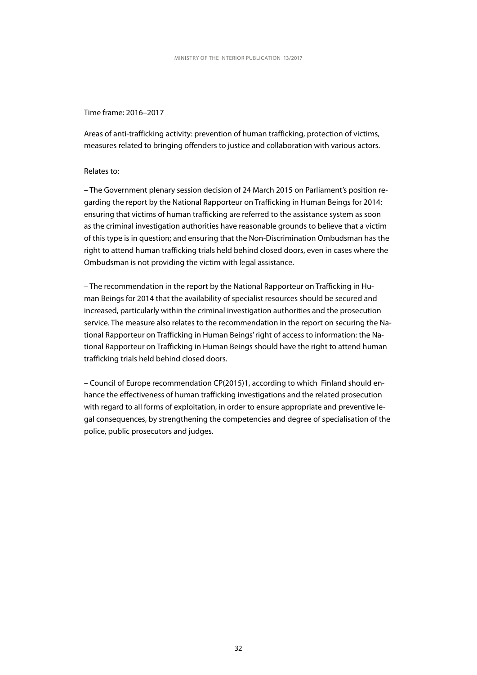#### Time frame: 2016–2017

Areas of anti-trafficking activity: prevention of human trafficking, protection of victims, measures related to bringing offenders to justice and collaboration with various actors.

#### Relates to:

– The Government plenary session decision of 24 March 2015 on Parliament's position regarding the report by the National Rapporteur on Trafficking in Human Beings for 2014: ensuring that victims of human trafficking are referred to the assistance system as soon as the criminal investigation authorities have reasonable grounds to believe that a victim of this type is in question; and ensuring that the Non-Discrimination Ombudsman has the right to attend human trafficking trials held behind closed doors, even in cases where the Ombudsman is not providing the victim with legal assistance.

– The recommendation in the report by the National Rapporteur on Trafficking in Human Beings for 2014 that the availability of specialist resources should be secured and increased, particularly within the criminal investigation authorities and the prosecution service. The measure also relates to the recommendation in the report on securing the National Rapporteur on Trafficking in Human Beings' right of access to information: the National Rapporteur on Trafficking in Human Beings should have the right to attend human trafficking trials held behind closed doors.

– Council of Europe recommendation CP(2015)1, according to which Finland should enhance the effectiveness of human trafficking investigations and the related prosecution with regard to all forms of exploitation, in order to ensure appropriate and preventive legal consequences, by strengthening the competencies and degree of specialisation of the police, public prosecutors and judges.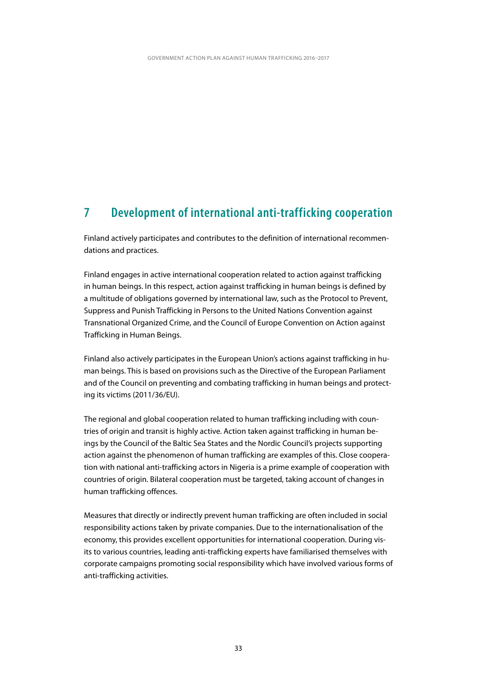### <span id="page-34-0"></span>**7 Development of international anti-trafficking cooperation**

Finland actively participates and contributes to the definition of international recommendations and practices.

Finland engages in active international cooperation related to action against trafficking in human beings. In this respect, action against trafficking in human beings is defined by a multitude of obligations governed by international law, such as the Protocol to Prevent, Suppress and Punish Trafficking in Persons to the United Nations Convention against Transnational Organized Crime, and the Council of Europe Convention on Action against Trafficking in Human Beings.

Finland also actively participates in the European Union's actions against trafficking in human beings. This is based on provisions such as the Directive of the European Parliament and of the Council on preventing and combating trafficking in human beings and protecting its victims (2011/36/EU).

The regional and global cooperation related to human trafficking including with countries of origin and transit is highly active. Action taken against trafficking in human beings by the Council of the Baltic Sea States and the Nordic Council's projects supporting action against the phenomenon of human trafficking are examples of this. Close cooperation with national anti-trafficking actors in Nigeria is a prime example of cooperation with countries of origin. Bilateral cooperation must be targeted, taking account of changes in human trafficking offences.

Measures that directly or indirectly prevent human trafficking are often included in social responsibility actions taken by private companies. Due to the internationalisation of the economy, this provides excellent opportunities for international cooperation. During visits to various countries, leading anti-trafficking experts have familiarised themselves with corporate campaigns promoting social responsibility which have involved various forms of anti-trafficking activities.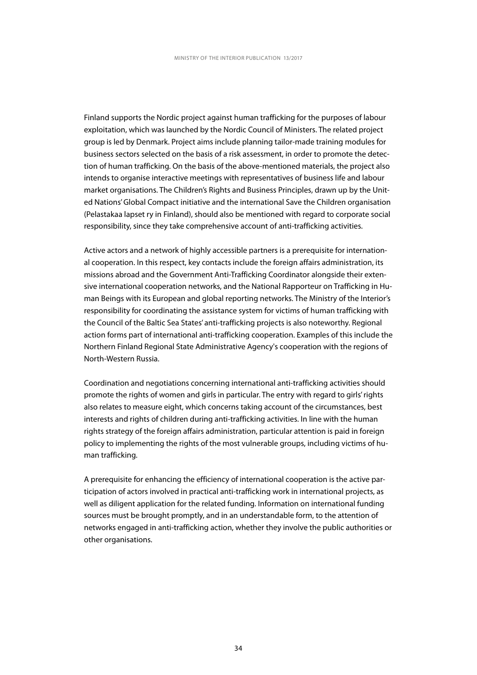Finland supports the Nordic project against human trafficking for the purposes of labour exploitation, which was launched by the Nordic Council of Ministers. The related project group is led by Denmark. Project aims include planning tailor-made training modules for business sectors selected on the basis of a risk assessment, in order to promote the detection of human trafficking. On the basis of the above-mentioned materials, the project also intends to organise interactive meetings with representatives of business life and labour market organisations. The Children's Rights and Business Principles, drawn up by the United Nations' Global Compact initiative and the international Save the Children organisation (Pelastakaa lapset ry in Finland), should also be mentioned with regard to corporate social responsibility, since they take comprehensive account of anti-trafficking activities.

Active actors and a network of highly accessible partners is a prerequisite for international cooperation. In this respect, key contacts include the foreign affairs administration, its missions abroad and the Government Anti-Trafficking Coordinator alongside their extensive international cooperation networks, and the National Rapporteur on Trafficking in Human Beings with its European and global reporting networks. The Ministry of the Interior's responsibility for coordinating the assistance system for victims of human trafficking with the Council of the Baltic Sea States' anti-trafficking projects is also noteworthy. Regional action forms part of international anti-trafficking cooperation. Examples of this include the Northern Finland Regional State Administrative Agency's cooperation with the regions of North-Western Russia.

Coordination and negotiations concerning international anti-trafficking activities should promote the rights of women and girls in particular. The entry with regard to girls' rights also relates to measure eight, which concerns taking account of the circumstances, best interests and rights of children during anti-trafficking activities. In line with the human rights strategy of the foreign affairs administration, particular attention is paid in foreign policy to implementing the rights of the most vulnerable groups, including victims of human trafficking.

A prerequisite for enhancing the efficiency of international cooperation is the active participation of actors involved in practical anti-trafficking work in international projects, as well as diligent application for the related funding. Information on international funding sources must be brought promptly, and in an understandable form, to the attention of networks engaged in anti-trafficking action, whether they involve the public authorities or other organisations.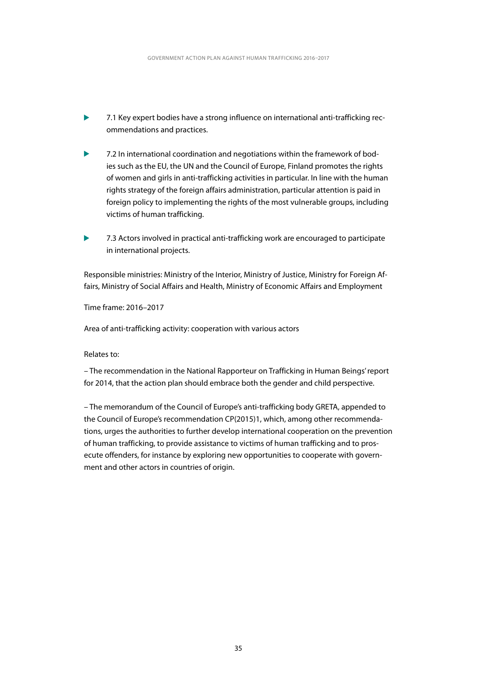- 7.1 Key expert bodies have a strong influence on international anti-trafficking recommendations and practices.
- 7.2 In international coordination and negotiations within the framework of bodies such as the EU, the UN and the Council of Europe, Finland promotes the rights of women and girls in anti-trafficking activities in particular. In line with the human rights strategy of the foreign affairs administration, particular attention is paid in foreign policy to implementing the rights of the most vulnerable groups, including victims of human trafficking.
- $\blacktriangleright$ 7.3 Actors involved in practical anti-trafficking work are encouraged to participate in international projects.

Responsible ministries: Ministry of the Interior, Ministry of Justice, Ministry for Foreign Affairs, Ministry of Social Affairs and Health, Ministry of Economic Affairs and Employment

Time frame: 2016–2017

Area of anti-trafficking activity: cooperation with various actors

#### Relates to:

– The recommendation in the National Rapporteur on Trafficking in Human Beings' report for 2014, that the action plan should embrace both the gender and child perspective.

– The memorandum of the Council of Europe's anti-trafficking body GRETA, appended to the Council of Europe's recommendation CP(2015)1, which, among other recommendations, urges the authorities to further develop international cooperation on the prevention of human trafficking, to provide assistance to victims of human trafficking and to prosecute offenders, for instance by exploring new opportunities to cooperate with government and other actors in countries of origin.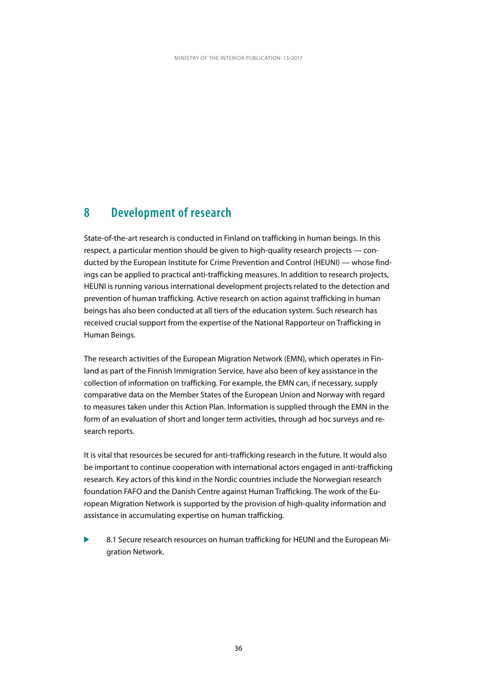### <span id="page-37-0"></span>**8 Development of research**

State-of-the-art research is conducted in Finland on trafficking in human beings. In this respect, a particular mention should be given to high-quality research projects — conducted by the European Institute for Crime Prevention and Control (HEUNI) — whose findings can be applied to practical anti-trafficking measures. In addition to research projects, HEUNI is running various international development projects related to the detection and prevention of human trafficking. Active research on action against trafficking in human beings has also been conducted at all tiers of the education system. Such research has received crucial support from the expertise of the National Rapporteur on Trafficking in Human Beings.

The research activities of the European Migration Network (EMN), which operates in Finland as part of the Finnish Immigration Service, have also been of key assistance in the collection of information on trafficking. For example, the EMN can, if necessary, supply comparative data on the Member States of the European Union and Norway with regard to measures taken under this Action Plan. Information is supplied through the EMN in the form of an evaluation of short and longer term activities, through ad hoc surveys and research reports.

It is vital that resources be secured for anti-trafficking research in the future. It would also be important to continue cooperation with international actors engaged in anti-trafficking research. Key actors of this kind in the Nordic countries include the Norwegian research foundation FAFO and the Danish Centre against Human Trafficking. The work of the European Migration Network is supported by the provision of high-quality information and assistance in accumulating expertise on human trafficking.

Ь 8.1 Secure research resources on human trafficking for HEUNI and the European Migration Network.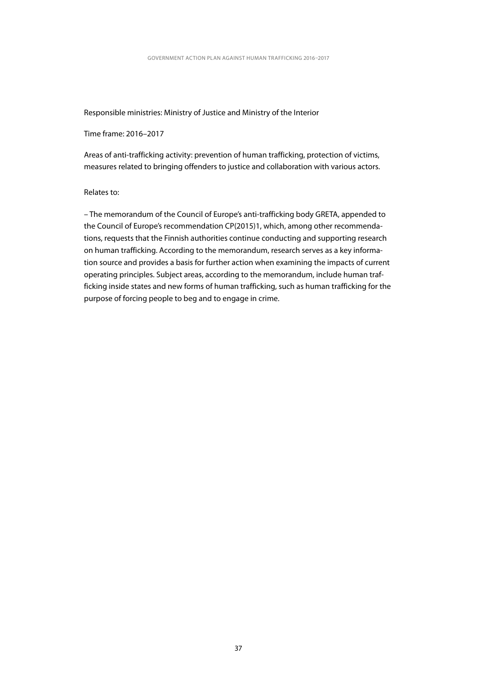Responsible ministries: Ministry of Justice and Ministry of the Interior

Time frame: 2016–2017

Areas of anti-trafficking activity: prevention of human trafficking, protection of victims, measures related to bringing offenders to justice and collaboration with various actors.

#### Relates to:

– The memorandum of the Council of Europe's anti-trafficking body GRETA, appended to the Council of Europe's recommendation CP(2015)1, which, among other recommendations, requests that the Finnish authorities continue conducting and supporting research on human trafficking. According to the memorandum, research serves as a key information source and provides a basis for further action when examining the impacts of current operating principles. Subject areas, according to the memorandum, include human trafficking inside states and new forms of human trafficking, such as human trafficking for the purpose of forcing people to beg and to engage in crime.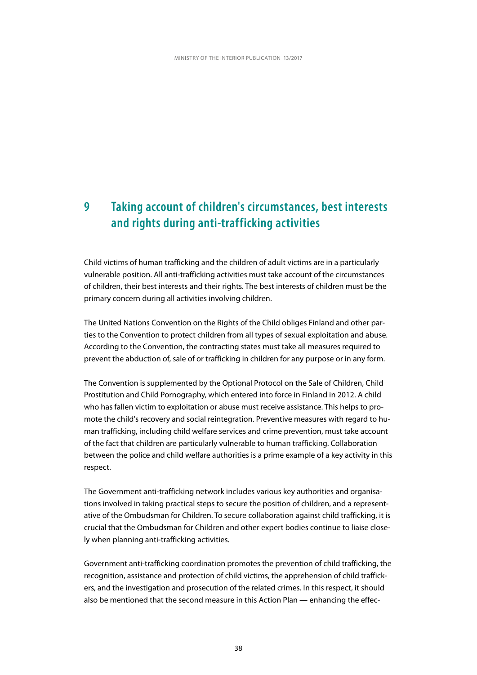### <span id="page-39-0"></span>**9 Taking account of children's circumstances, best interests and rights during anti-trafficking activities**

Child victims of human trafficking and the children of adult victims are in a particularly vulnerable position. All anti-trafficking activities must take account of the circumstances of children, their best interests and their rights. The best interests of children must be the primary concern during all activities involving children.

The United Nations Convention on the Rights of the Child obliges Finland and other parties to the Convention to protect children from all types of sexual exploitation and abuse. According to the Convention, the contracting states must take all measures required to prevent the abduction of, sale of or trafficking in children for any purpose or in any form.

The Convention is supplemented by the Optional Protocol on the Sale of Children, Child Prostitution and Child Pornography, which entered into force in Finland in 2012. A child who has fallen victim to exploitation or abuse must receive assistance. This helps to promote the child's recovery and social reintegration. Preventive measures with regard to human trafficking, including child welfare services and crime prevention, must take account of the fact that children are particularly vulnerable to human trafficking. Collaboration between the police and child welfare authorities is a prime example of a key activity in this respect.

The Government anti-trafficking network includes various key authorities and organisations involved in taking practical steps to secure the position of children, and a representative of the Ombudsman for Children. To secure collaboration against child trafficking, it is crucial that the Ombudsman for Children and other expert bodies continue to liaise closely when planning anti-trafficking activities.

Government anti-trafficking coordination promotes the prevention of child trafficking, the recognition, assistance and protection of child victims, the apprehension of child traffickers, and the investigation and prosecution of the related crimes. In this respect, it should also be mentioned that the second measure in this Action Plan — enhancing the effec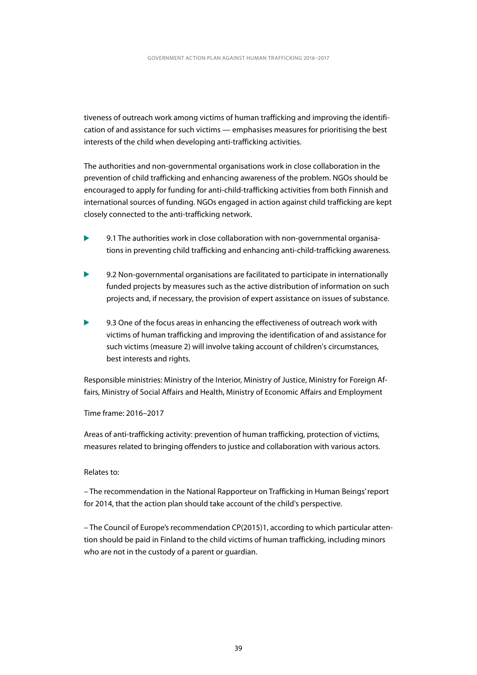tiveness of outreach work among victims of human trafficking and improving the identification of and assistance for such victims — emphasises measures for prioritising the best interests of the child when developing anti-trafficking activities.

The authorities and non-governmental organisations work in close collaboration in the prevention of child trafficking and enhancing awareness of the problem. NGOs should be encouraged to apply for funding for anti-child-trafficking activities from both Finnish and international sources of funding. NGOs engaged in action against child trafficking are kept closely connected to the anti-trafficking network.

- 9.1 The authorities work in close collaboration with non-governmental organisations in preventing child trafficking and enhancing anti-child-trafficking awareness.
- 9.2 Non-governmental organisations are facilitated to participate in internationally funded projects by measures such as the active distribution of information on such projects and, if necessary, the provision of expert assistance on issues of substance.
- $\blacktriangleright$ 9.3 One of the focus areas in enhancing the effectiveness of outreach work with victims of human trafficking and improving the identification of and assistance for such victims (measure 2) will involve taking account of children's circumstances, best interests and rights.

Responsible ministries: Ministry of the Interior, Ministry of Justice, Ministry for Foreign Affairs, Ministry of Social Affairs and Health, Ministry of Economic Affairs and Employment

Time frame: 2016–2017

Areas of anti-trafficking activity: prevention of human trafficking, protection of victims, measures related to bringing offenders to justice and collaboration with various actors.

#### Relates to:

– The recommendation in the National Rapporteur on Trafficking in Human Beings' report for 2014, that the action plan should take account of the child's perspective.

– The Council of Europe's recommendation CP(2015)1, according to which particular attention should be paid in Finland to the child victims of human trafficking, including minors who are not in the custody of a parent or guardian.